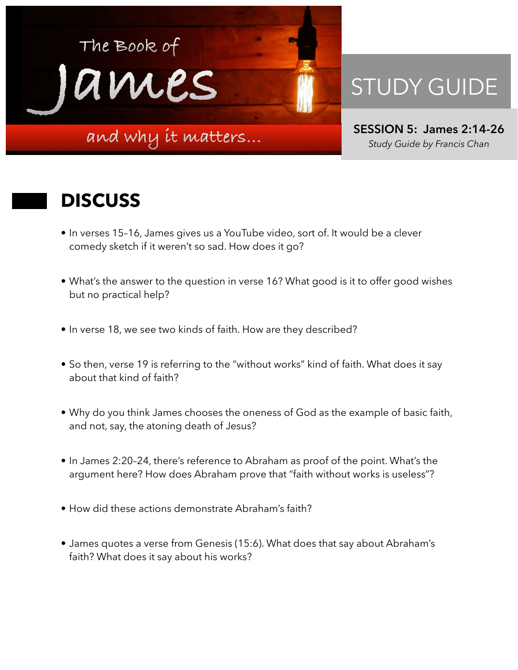

## STUDY GUIDE

**SESSION 5: James 2:14-26**  *Study Guide by Francis Chan*

## **DISCUSS**

- In verses 15–16, James gives us a YouTube video, sort of. It would be a clever comedy sketch if it weren't so sad. How does it go?
- What's the answer to the question in verse 16? What good is it to offer good wishes but no practical help?
- In verse 18, we see two kinds of faith. How are they described?
- So then, verse 19 is referring to the "without works" kind of faith. What does it say about that kind of faith?
- Why do you think James chooses the oneness of God as the example of basic faith, and not, say, the atoning death of Jesus?
- In James 2:20–24, there's reference to Abraham as proof of the point. What's the argument here? How does Abraham prove that "faith without works is useless"?
- How did these actions demonstrate Abraham's faith?
- James quotes a verse from Genesis (15:6). What does that say about Abraham's faith? What does it say about his works?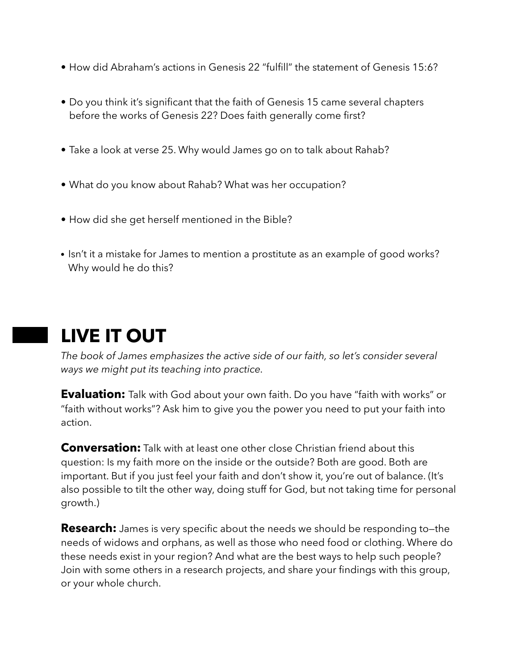- How did Abraham's actions in Genesis 22 "fulfill" the statement of Genesis 15:6?
- Do you think it's significant that the faith of Genesis 15 came several chapters before the works of Genesis 22? Does faith generally come first?
- Take a look at verse 25. Why would James go on to talk about Rahab?
- What do you know about Rahab? What was her occupation?
- How did she get herself mentioned in the Bible?
- Isn't it a mistake for James to mention a prostitute as an example of good works? Why would he do this?

## **LIVE IT OUT**

*The book of James emphasizes the active side of our faith, so let's consider several ways we might put its teaching into practice.* 

**Evaluation:** Talk with God about your own faith. Do you have "faith with works" or "faith without works"? Ask him to give you the power you need to put your faith into action.

**Conversation:** Talk with at least one other close Christian friend about this question: Is my faith more on the inside or the outside? Both are good. Both are important. But if you just feel your faith and don't show it, you're out of balance. (It's also possible to tilt the other way, doing stuff for God, but not taking time for personal growth.)

**Research:** James is very specific about the needs we should be responding to–the needs of widows and orphans, as well as those who need food or clothing. Where do these needs exist in your region? And what are the best ways to help such people? Join with some others in a research projects, and share your findings with this group, or your whole church.